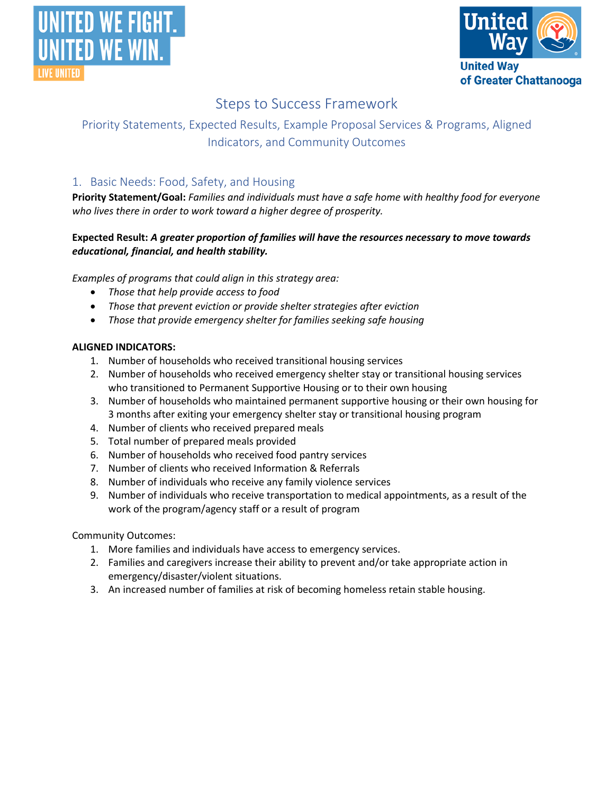



# Steps to Success Framework

# Priority Statements, Expected Results, Example Proposal Services & Programs, Aligned Indicators, and Community Outcomes

# 1. Basic Needs: Food, Safety, and Housing

**Priority Statement/Goal:** *Families and individuals must have a safe home with healthy food for everyone who lives there in order to work toward a higher degree of prosperity.*

# **Expected Result:** *A greater proportion of families will have the resources necessary to move towards educational, financial, and health stability.*

*Examples of programs that could align in this strategy area:*

- *Those that help provide access to food*
- *Those that prevent eviction or provide shelter strategies after eviction*
- *Those that provide emergency shelter for families seeking safe housing*

# **ALIGNED INDICATORS:**

- 1. Number of households who received transitional housing services
- 2. Number of households who received emergency shelter stay or transitional housing services who transitioned to Permanent Supportive Housing or to their own housing
- 3. Number of households who maintained permanent supportive housing or their own housing for 3 months after exiting your emergency shelter stay or transitional housing program
- 4. Number of clients who received prepared meals
- 5. Total number of prepared meals provided
- 6. Number of households who received food pantry services
- 7. Number of clients who received Information & Referrals
- 8. Number of individuals who receive any family violence services
- 9. Number of individuals who receive transportation to medical appointments, as a result of the work of the program/agency staff or a result of program

- 1. More families and individuals have access to emergency services.
- 2. Families and caregivers increase their ability to prevent and/or take appropriate action in emergency/disaster/violent situations.
- 3. An increased number of families at risk of becoming homeless retain stable housing.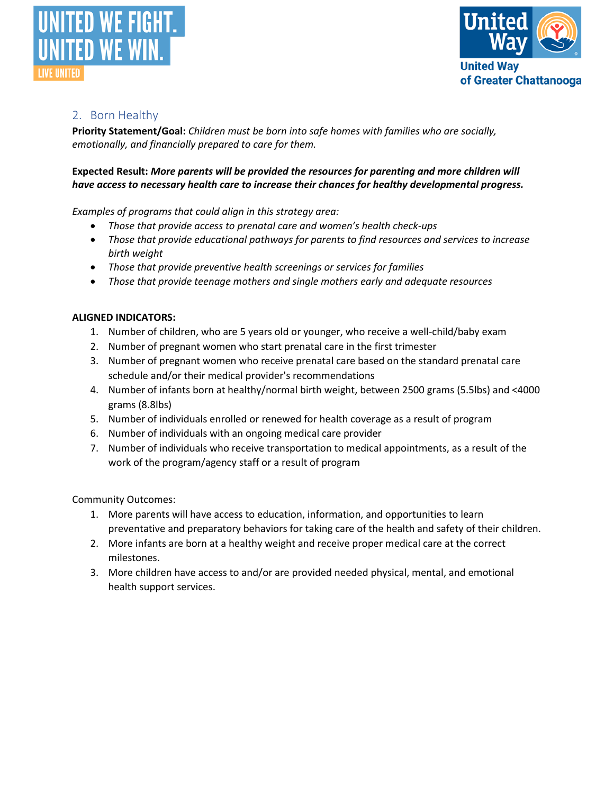



# 2. Born Healthy

**Priority Statement/Goal:** *Children must be born into safe homes with families who are socially, emotionally, and financially prepared to care for them.*

### **Expected Result:** *More parents will be provided the resources for parenting and more children will have access to necessary health care to increase their chances for healthy developmental progress.*

*Examples of programs that could align in this strategy area:*

- *Those that provide access to prenatal care and women's health check-ups*
- *Those that provide educational pathways for parents to find resources and services to increase birth weight*
- *Those that provide preventive health screenings or services for families*
- *Those that provide teenage mothers and single mothers early and adequate resources*

### **ALIGNED INDICATORS:**

- 1. Number of children, who are 5 years old or younger, who receive a well-child/baby exam
- 2. Number of pregnant women who start prenatal care in the first trimester
- 3. Number of pregnant women who receive prenatal care based on the standard prenatal care schedule and/or their medical provider's recommendations
- 4. Number of infants born at healthy/normal birth weight, between 2500 grams (5.5lbs) and <4000 grams (8.8lbs)
- 5. Number of individuals enrolled or renewed for health coverage as a result of program
- 6. Number of individuals with an ongoing medical care provider
- 7. Number of individuals who receive transportation to medical appointments, as a result of the work of the program/agency staff or a result of program

- 1. More parents will have access to education, information, and opportunities to learn preventative and preparatory behaviors for taking care of the health and safety of their children.
- 2. More infants are born at a healthy weight and receive proper medical care at the correct milestones.
- 3. More children have access to and/or are provided needed physical, mental, and emotional health support services.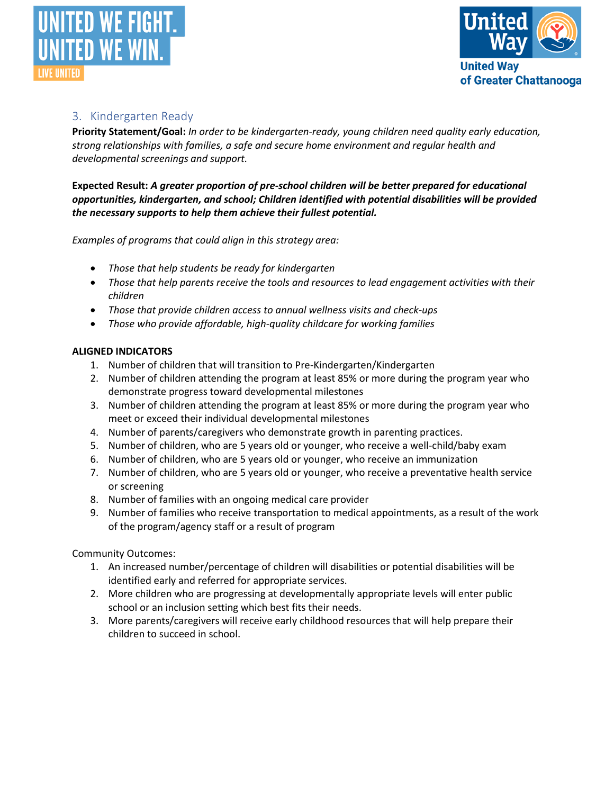



# 3. Kindergarten Ready

**Priority Statement/Goal:** *In order to be kindergarten-ready, young children need quality early education, strong relationships with families, a safe and secure home environment and regular health and developmental screenings and support.*

**Expected Result:** *A greater proportion of pre-school children will be better prepared for educational opportunities, kindergarten, and school; Children identified with potential disabilities will be provided the necessary supports to help them achieve their fullest potential.*

*Examples of programs that could align in this strategy area:*

- *Those that help students be ready for kindergarten*
- *Those that help parents receive the tools and resources to lead engagement activities with their children*
- *Those that provide children access to annual wellness visits and check-ups*
- *Those who provide affordable, high-quality childcare for working families*

### **ALIGNED INDICATORS**

- 1. Number of children that will transition to Pre-Kindergarten/Kindergarten
- 2. Number of children attending the program at least 85% or more during the program year who demonstrate progress toward developmental milestones
- 3. Number of children attending the program at least 85% or more during the program year who meet or exceed their individual developmental milestones
- 4. Number of parents/caregivers who demonstrate growth in parenting practices.
- 5. Number of children, who are 5 years old or younger, who receive a well-child/baby exam
- 6. Number of children, who are 5 years old or younger, who receive an immunization
- 7. Number of children, who are 5 years old or younger, who receive a preventative health service or screening
- 8. Number of families with an ongoing medical care provider
- 9. Number of families who receive transportation to medical appointments, as a result of the work of the program/agency staff or a result of program

- 1. An increased number/percentage of children will disabilities or potential disabilities will be identified early and referred for appropriate services.
- 2. More children who are progressing at developmentally appropriate levels will enter public school or an inclusion setting which best fits their needs.
- 3. More parents/caregivers will receive early childhood resources that will help prepare their children to succeed in school.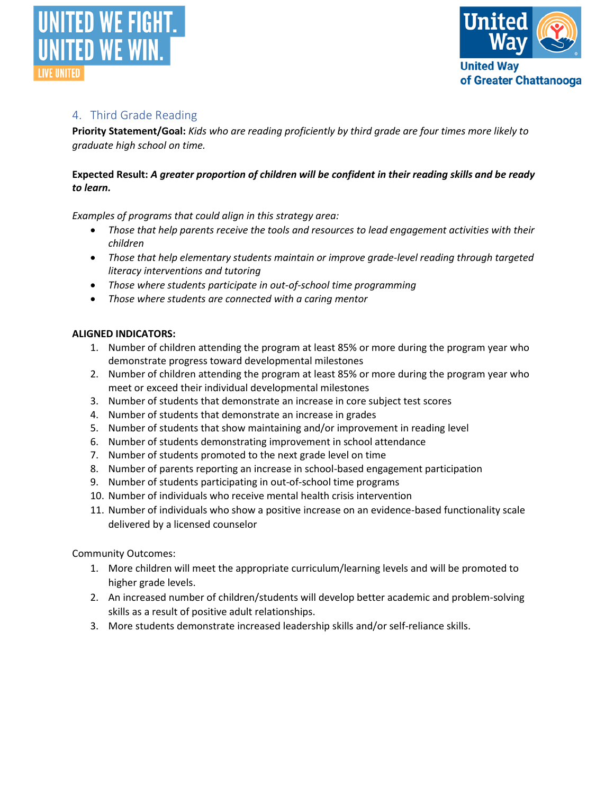



# 4. Third Grade Reading

**Priority Statement/Goal:** *Kids who are reading proficiently by third grade are four times more likely to graduate high school on time.*

# **Expected Result:** *A greater proportion of children will be confident in their reading skills and be ready to learn.*

*Examples of programs that could align in this strategy area:*

- *Those that help parents receive the tools and resources to lead engagement activities with their children*
- *Those that help elementary students maintain or improve grade-level reading through targeted literacy interventions and tutoring*
- *Those where students participate in out-of-school time programming*
- *Those where students are connected with a caring mentor*

### **ALIGNED INDICATORS:**

- 1. Number of children attending the program at least 85% or more during the program year who demonstrate progress toward developmental milestones
- 2. Number of children attending the program at least 85% or more during the program year who meet or exceed their individual developmental milestones
- 3. Number of students that demonstrate an increase in core subject test scores
- 4. Number of students that demonstrate an increase in grades
- 5. Number of students that show maintaining and/or improvement in reading level
- 6. Number of students demonstrating improvement in school attendance
- 7. Number of students promoted to the next grade level on time
- 8. Number of parents reporting an increase in school-based engagement participation
- 9. Number of students participating in out-of-school time programs
- 10. Number of individuals who receive mental health crisis intervention
- 11. Number of individuals who show a positive increase on an evidence-based functionality scale delivered by a licensed counselor

- 1. More children will meet the appropriate curriculum/learning levels and will be promoted to higher grade levels.
- 2. An increased number of children/students will develop better academic and problem-solving skills as a result of positive adult relationships.
- 3. More students demonstrate increased leadership skills and/or self-reliance skills.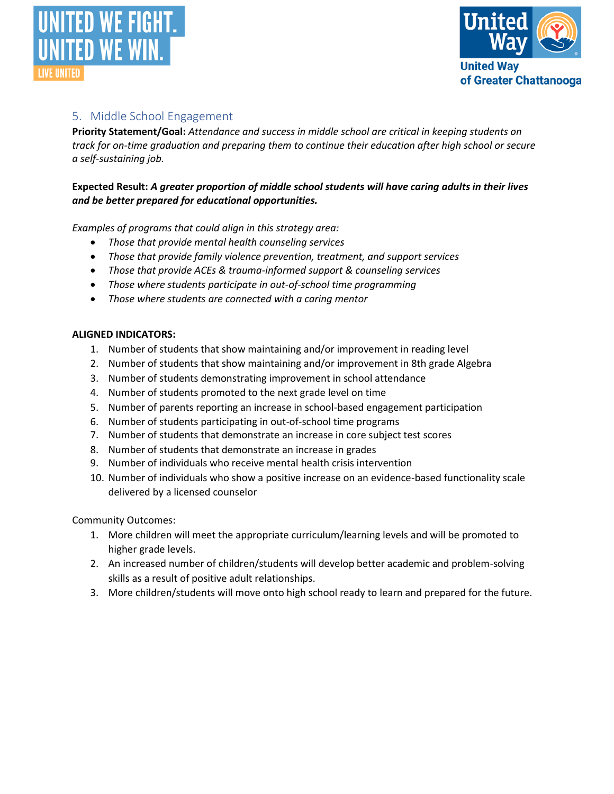



# 5. Middle School Engagement

**Priority Statement/Goal:** *Attendance and success in middle school are critical in keeping students on track for on-time graduation and preparing them to continue their education after high school or secure a self-sustaining job.*

# **Expected Result:** *A greater proportion of middle school students will have caring adults in their lives and be better prepared for educational opportunities.*

*Examples of programs that could align in this strategy area:*

- *Those that provide mental health counseling services*
- *Those that provide family violence prevention, treatment, and support services*
- *Those that provide ACEs & trauma-informed support & counseling services*
- *Those where students participate in out-of-school time programming*
- *Those where students are connected with a caring mentor*

#### **ALIGNED INDICATORS:**

- 1. Number of students that show maintaining and/or improvement in reading level
- 2. Number of students that show maintaining and/or improvement in 8th grade Algebra
- 3. Number of students demonstrating improvement in school attendance
- 4. Number of students promoted to the next grade level on time
- 5. Number of parents reporting an increase in school-based engagement participation
- 6. Number of students participating in out-of-school time programs
- 7. Number of students that demonstrate an increase in core subject test scores
- 8. Number of students that demonstrate an increase in grades
- 9. Number of individuals who receive mental health crisis intervention
- 10. Number of individuals who show a positive increase on an evidence-based functionality scale delivered by a licensed counselor

- 1. More children will meet the appropriate curriculum/learning levels and will be promoted to higher grade levels.
- 2. An increased number of children/students will develop better academic and problem-solving skills as a result of positive adult relationships.
- 3. More children/students will move onto high school ready to learn and prepared for the future.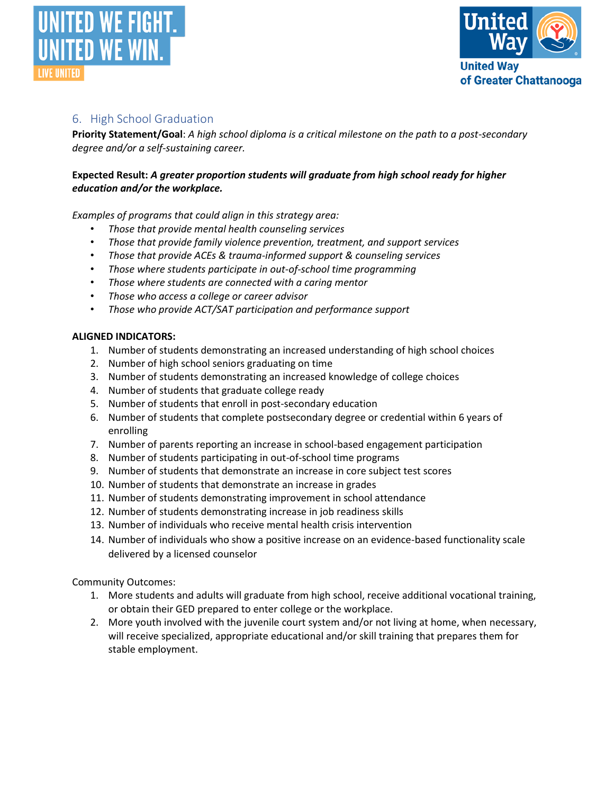



# 6. High School Graduation

**Priority Statement/Goal**: *A high school diploma is a critical milestone on the path to a post-secondary degree and/or a self-sustaining career.*

## **Expected Result:** *A greater proportion students will graduate from high school ready for higher education and/or the workplace.*

*Examples of programs that could align in this strategy area:*

- *Those that provide mental health counseling services*
- *Those that provide family violence prevention, treatment, and support services*
- *Those that provide ACEs & trauma-informed support & counseling services*
- *Those where students participate in out-of-school time programming*
- *Those where students are connected with a caring mentor*
- *Those who access a college or career advisor*
- *Those who provide ACT/SAT participation and performance support*

#### **ALIGNED INDICATORS:**

- 1. Number of students demonstrating an increased understanding of high school choices
- 2. Number of high school seniors graduating on time
- 3. Number of students demonstrating an increased knowledge of college choices
- 4. Number of students that graduate college ready
- 5. Number of students that enroll in post-secondary education
- 6. Number of students that complete postsecondary degree or credential within 6 years of enrolling
- 7. Number of parents reporting an increase in school-based engagement participation
- 8. Number of students participating in out-of-school time programs
- 9. Number of students that demonstrate an increase in core subject test scores
- 10. Number of students that demonstrate an increase in grades
- 11. Number of students demonstrating improvement in school attendance
- 12. Number of students demonstrating increase in job readiness skills
- 13. Number of individuals who receive mental health crisis intervention
- 14. Number of individuals who show a positive increase on an evidence-based functionality scale delivered by a licensed counselor

- 1. More students and adults will graduate from high school, receive additional vocational training, or obtain their GED prepared to enter college or the workplace.
- 2. More youth involved with the juvenile court system and/or not living at home, when necessary, will receive specialized, appropriate educational and/or skill training that prepares them for stable employment.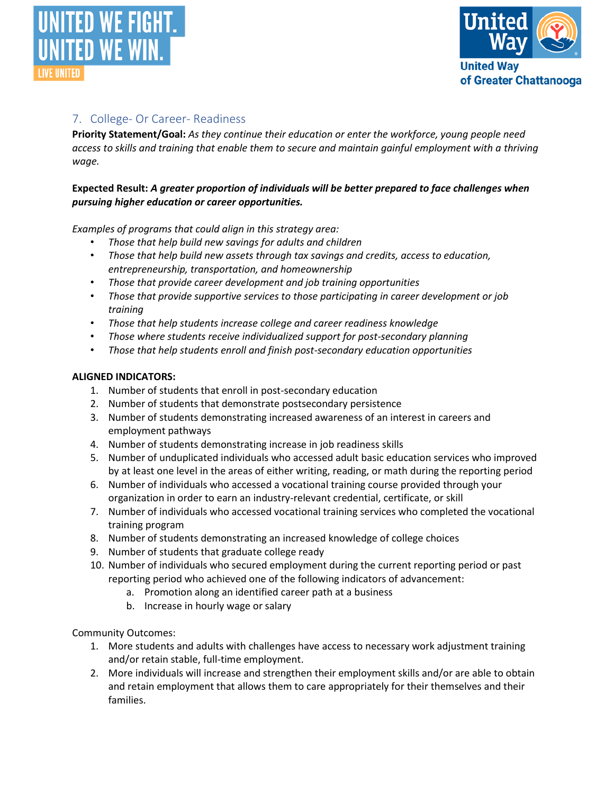



# 7. College- Or Career- Readiness

**Priority Statement/Goal:** *As they continue their education or enter the workforce, young people need access to skills and training that enable them to secure and maintain gainful employment with a thriving wage.*

# **Expected Result:** *A greater proportion of individuals will be better prepared to face challenges when pursuing higher education or career opportunities.*

*Examples of programs that could align in this strategy area:*

- *Those that help build new savings for adults and children*
- *Those that help build new assets through tax savings and credits, access to education, entrepreneurship, transportation, and homeownership*
- *Those that provide career development and job training opportunities*
- *Those that provide supportive services to those participating in career development or job training*
- *Those that help students increase college and career readiness knowledge*
- *Those where students receive individualized support for post-secondary planning*
- *Those that help students enroll and finish post-secondary education opportunities*

### **ALIGNED INDICATORS:**

- 1. Number of students that enroll in post-secondary education
- 2. Number of students that demonstrate postsecondary persistence
- 3. Number of students demonstrating increased awareness of an interest in careers and employment pathways
- 4. Number of students demonstrating increase in job readiness skills
- 5. Number of unduplicated individuals who accessed adult basic education services who improved by at least one level in the areas of either writing, reading, or math during the reporting period
- 6. Number of individuals who accessed a vocational training course provided through your organization in order to earn an industry-relevant credential, certificate, or skill
- 7. Number of individuals who accessed vocational training services who completed the vocational training program
- 8. Number of students demonstrating an increased knowledge of college choices
- 9. Number of students that graduate college ready
- 10. Number of individuals who secured employment during the current reporting period or past reporting period who achieved one of the following indicators of advancement:
	- a. Promotion along an identified career path at a business
	- b. Increase in hourly wage or salary

- 1. More students and adults with challenges have access to necessary work adjustment training and/or retain stable, full-time employment.
- 2. More individuals will increase and strengthen their employment skills and/or are able to obtain and retain employment that allows them to care appropriately for their themselves and their families.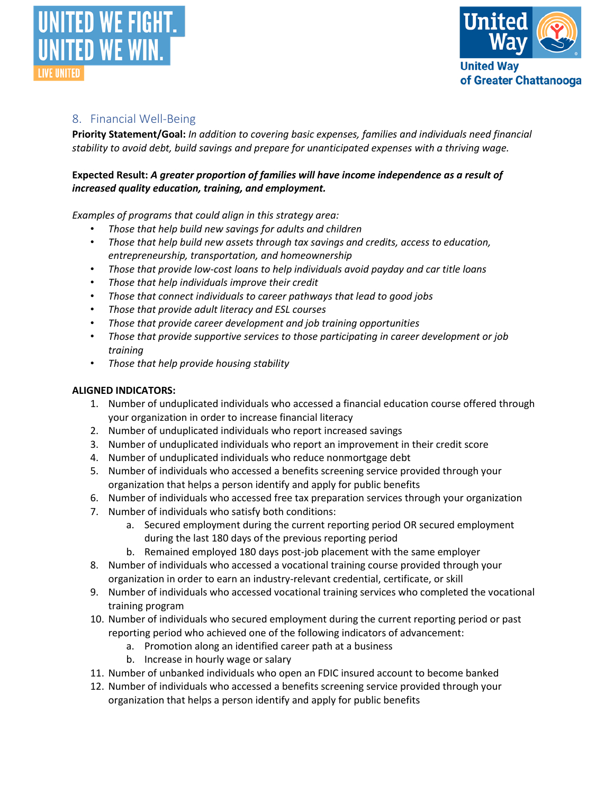



# 8. Financial Well-Being

**Priority Statement/Goal:** *In addition to covering basic expenses, families and individuals need financial stability to avoid debt, build savings and prepare for unanticipated expenses with a thriving wage.*

# **Expected Result:** *A greater proportion of families will have income independence as a result of increased quality education, training, and employment.*

*Examples of programs that could align in this strategy area:*

- *Those that help build new savings for adults and children*
- *Those that help build new assets through tax savings and credits, access to education, entrepreneurship, transportation, and homeownership*
- *Those that provide low-cost loans to help individuals avoid payday and car title loans*
- *Those that help individuals improve their credit*
- *Those that connect individuals to career pathways that lead to good jobs*
- *Those that provide adult literacy and ESL courses*
- *Those that provide career development and job training opportunities*
- *Those that provide supportive services to those participating in career development or job training*
- *Those that help provide housing stability*

### **ALIGNED INDICATORS:**

- 1. Number of unduplicated individuals who accessed a financial education course offered through your organization in order to increase financial literacy
- 2. Number of unduplicated individuals who report increased savings
- 3. Number of unduplicated individuals who report an improvement in their credit score
- 4. Number of unduplicated individuals who reduce nonmortgage debt
- 5. Number of individuals who accessed a benefits screening service provided through your organization that helps a person identify and apply for public benefits
- 6. Number of individuals who accessed free tax preparation services through your organization
- 7. Number of individuals who satisfy both conditions:
	- a. Secured employment during the current reporting period OR secured employment during the last 180 days of the previous reporting period
	- b. Remained employed 180 days post-job placement with the same employer
- 8. Number of individuals who accessed a vocational training course provided through your organization in order to earn an industry-relevant credential, certificate, or skill
- 9. Number of individuals who accessed vocational training services who completed the vocational training program
- 10. Number of individuals who secured employment during the current reporting period or past reporting period who achieved one of the following indicators of advancement:
	- a. Promotion along an identified career path at a business
	- b. Increase in hourly wage or salary
- 11. Number of unbanked individuals who open an FDIC insured account to become banked
- 12. Number of individuals who accessed a benefits screening service provided through your organization that helps a person identify and apply for public benefits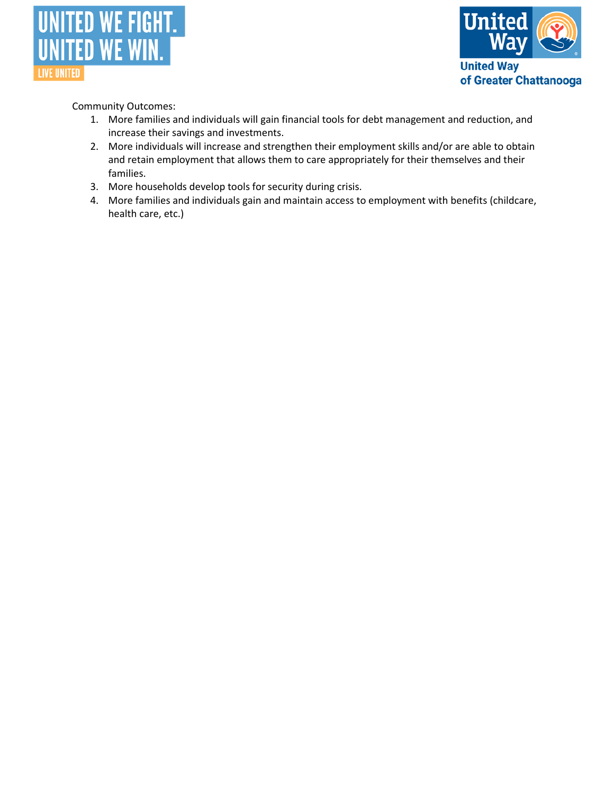



- 1. More families and individuals will gain financial tools for debt management and reduction, and increase their savings and investments.
- 2. More individuals will increase and strengthen their employment skills and/or are able to obtain and retain employment that allows them to care appropriately for their themselves and their families.
- 3. More households develop tools for security during crisis.
- 4. More families and individuals gain and maintain access to employment with benefits (childcare, health care, etc.)